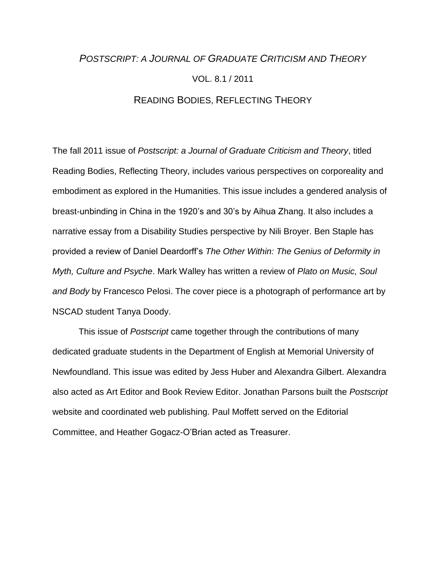# *POSTSCRIPT: A JOURNAL OF GRADUATE CRITICISM AND THEORY* VOL. 8.1 / 2011 READING BODIES, REFLECTING THEORY

The fall 2011 issue of *Postscript: a Journal of Graduate Criticism and Theory*, titled Reading Bodies, Reflecting Theory, includes various perspectives on corporeality and embodiment as explored in the Humanities. This issue includes a gendered analysis of breast-unbinding in China in the 1920's and 30's by Aihua Zhang. It also includes a narrative essay from a Disability Studies perspective by Nili Broyer. Ben Staple has provided a review of Daniel Deardorff's *The Other Within: The Genius of Deformity in Myth, Culture and Psyche*. Mark Walley has written a review of *Plato on Music, Soul and Body* by Francesco Pelosi. The cover piece is a photograph of performance art by NSCAD student Tanya Doody.

This issue of *Postscript* came together through the contributions of many dedicated graduate students in the Department of English at Memorial University of Newfoundland. This issue was edited by Jess Huber and Alexandra Gilbert. Alexandra also acted as Art Editor and Book Review Editor. Jonathan Parsons built the *Postscript*  website and coordinated web publishing. Paul Moffett served on the Editorial Committee, and Heather Gogacz-O'Brian acted as Treasurer.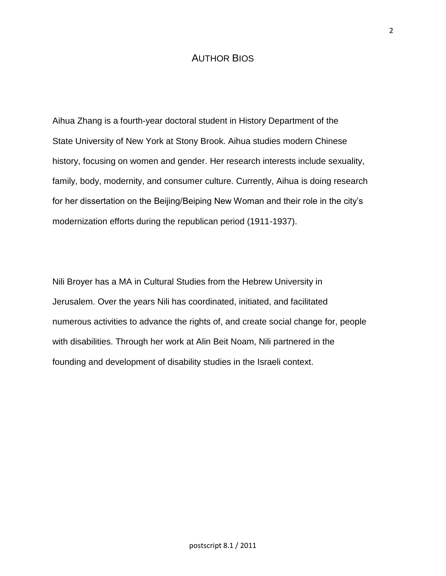## AUTHOR BIOS

Aihua Zhang is a fourth-year doctoral student in History Department of the State University of New York at Stony Brook. Aihua studies modern Chinese history, focusing on women and gender. Her research interests include sexuality, family, body, modernity, and consumer culture. Currently, Aihua is doing research for her dissertation on the Beijing/Beiping New Woman and their role in the city's modernization efforts during the republican period (1911-1937).

Nili Broyer has a MA in Cultural Studies from the Hebrew University in Jerusalem. Over the years Nili has coordinated, initiated, and facilitated numerous activities to advance the rights of, and create social change for, people with disabilities. Through her work at Alin Beit Noam, Nili partnered in the founding and development of disability studies in the Israeli context.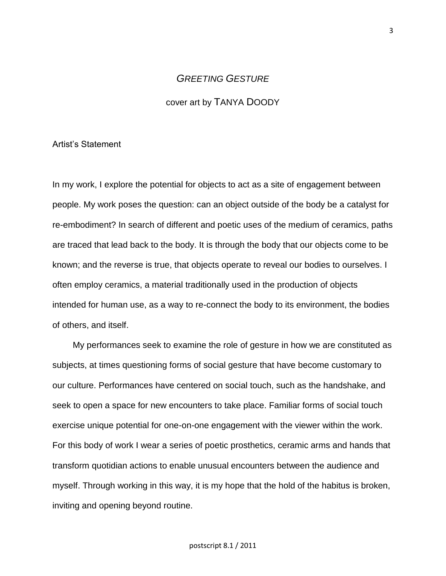## *GREETING GESTURE*

#### cover art by TANYA DOODY

#### Artist's Statement

In my work, I explore the potential for objects to act as a site of engagement between people. My work poses the question: can an object outside of the body be a catalyst for re-embodiment? In search of different and poetic uses of the medium of ceramics, paths are traced that lead back to the body. It is through the body that our objects come to be known; and the reverse is true, that objects operate to reveal our bodies to ourselves. I often employ ceramics, a material traditionally used in the production of objects intended for human use, as a way to re-connect the body to its environment, the bodies of others, and itself.

My performances seek to examine the role of gesture in how we are constituted as subjects, at times questioning forms of social gesture that have become customary to our culture. Performances have centered on social touch, such as the handshake, and seek to open a space for new encounters to take place. Familiar forms of social touch exercise unique potential for one-on-one engagement with the viewer within the work. For this body of work I wear a series of poetic prosthetics, ceramic arms and hands that transform quotidian actions to enable unusual encounters between the audience and myself. Through working in this way, it is my hope that the hold of the habitus is broken, inviting and opening beyond routine.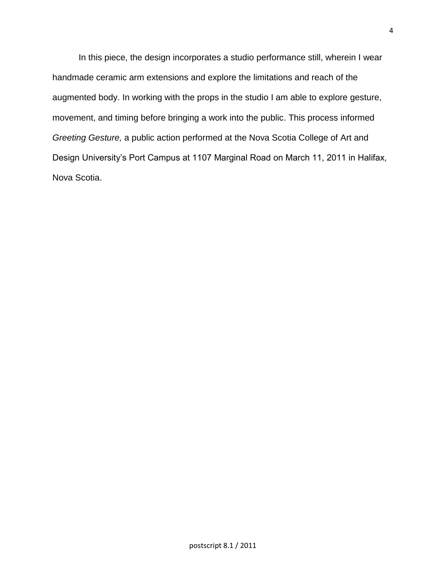In this piece, the design incorporates a studio performance still, wherein I wear handmade ceramic arm extensions and explore the limitations and reach of the augmented body. In working with the props in the studio I am able to explore gesture, movement, and timing before bringing a work into the public. This process informed *Greeting Gesture,* a public action performed at the Nova Scotia College of Art and Design University's Port Campus at 1107 Marginal Road on March 11, 2011 in Halifax, Nova Scotia.